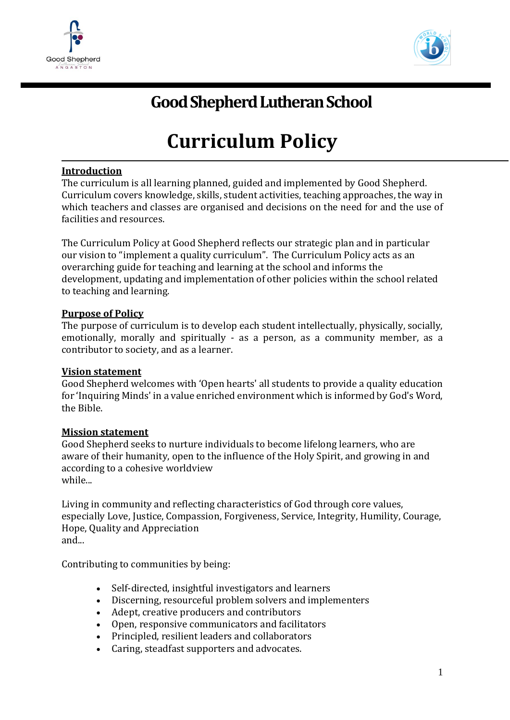



## **Good Shepherd Lutheran School**

# **Curriculum Policy**

## **Introduction**

The curriculum is all learning planned, guided and implemented by Good Shepherd. Curriculum covers knowledge, skills, student activities, teaching approaches, the way in which teachers and classes are organised and decisions on the need for and the use of facilities and resources.

The Curriculum Policy at Good Shepherd reflects our strategic plan and in particular our vision to "implement a quality curriculum". The Curriculum Policy acts as an overarching guide for teaching and learning at the school and informs the development, updating and implementation of other policies within the school related to teaching and learning.

## **Purpose of Policy**

The purpose of curriculum is to develop each student intellectually, physically, socially, emotionally, morally and spiritually - as a person, as a community member, as a contributor to society, and as a learner.

#### **Vision statement**

Good Shepherd welcomes with 'Open hearts' all students to provide a quality education for 'Inquiring Minds' in a value enriched environment which is informed by God's Word, the Bible.

#### **Mission statement**

Good Shepherd seeks to nurture individuals to become lifelong learners, who are aware of their humanity, open to the influence of the Holy Spirit, and growing in and according to a cohesive worldview while...

Living in community and reflecting characteristics of God through core values, especially Love, Justice, Compassion, Forgiveness, Service, Integrity, Humility, Courage, Hope, Quality and Appreciation and...

Contributing to communities by being:

- Self-directed, insightful investigators and learners
- Discerning, resourceful problem solvers and implementers
- Adept, creative producers and contributors
- Open, responsive communicators and facilitators
- Principled, resilient leaders and collaborators
- Caring, steadfast supporters and advocates.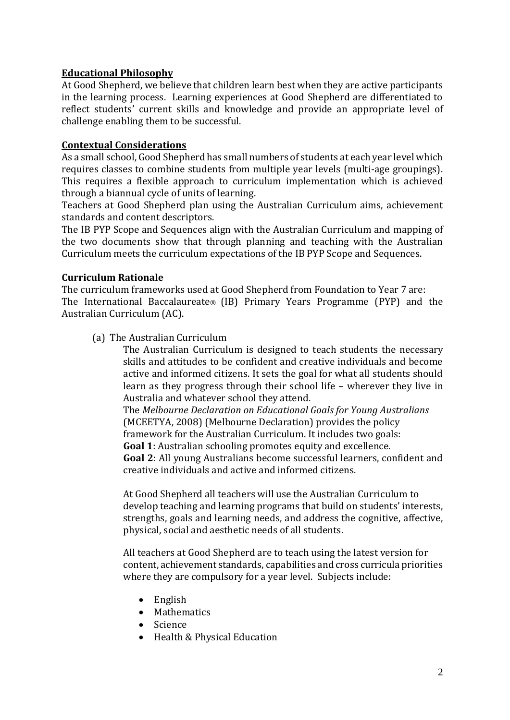## **Educational Philosophy**

At Good Shepherd, we believe that children learn best when they are active participants in the learning process. Learning experiences at Good Shepherd are differentiated to reflect students' current skills and knowledge and provide an appropriate level of challenge enabling them to be successful.

## **Contextual Considerations**

As a small school, Good Shepherd has small numbers of students at each year level which requires classes to combine students from multiple year levels (multi-age groupings). This requires a flexible approach to curriculum implementation which is achieved through a biannual cycle of units of learning.

Teachers at Good Shepherd plan using the Australian Curriculum aims, achievement standards and content descriptors.

The IB PYP Scope and Sequences align with the Australian Curriculum and mapping of the two documents show that through planning and teaching with the Australian Curriculum meets the curriculum expectations of the IB PYP Scope and Sequences.

## **Curriculum Rationale**

The curriculum frameworks used at Good Shepherd from Foundation to Year 7 are: The International Baccalaureate® (IB) Primary Years Programme (PYP) and the Australian Curriculum (AC).

(a) The Australian Curriculum

The Australian Curriculum is designed to teach students the necessary skills and attitudes to be confident and creative individuals and become active and informed citizens. It sets the goal for what all students should learn as they progress through their school life – wherever they live in Australia and whatever school they attend.

The *Melbourne Declaration on Educational Goals for Young Australians* (MCEETYA, 2008) (Melbourne Declaration) provides the policy framework for the Australian Curriculum. It includes two goals:

**Goal 1**: Australian schooling promotes equity and excellence.

**Goal 2**: All young Australians become successful learners, confident and creative individuals and active and informed citizens.

At Good Shepherd all teachers will use the Australian Curriculum to develop teaching and learning programs that build on students' interests, strengths, goals and learning needs, and address the cognitive, affective, physical, social and aesthetic needs of all students.

All teachers at Good Shepherd are to teach using the latest version for content, achievement standards, capabilities and cross curricula priorities where they are compulsory for a year level. Subjects include:

- English
- Mathematics
- Science
- Health & Physical Education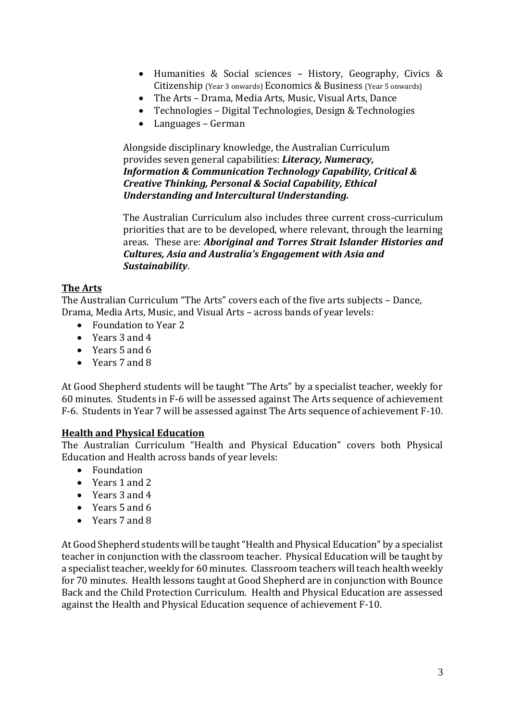- Humanities & Social sciences History, Geography, Civics & Citizenship (Year 3 onwards) Economics & Business (Year 5 onwards)
- The Arts Drama, Media Arts, Music, Visual Arts, Dance
- Technologies Digital Technologies, Design & Technologies
- Languages German

Alongside disciplinary knowledge, the Australian Curriculum provides seven general capabilities: *Literacy, Numeracy, Information & Communication Technology Capability, Critical & Creative Thinking, Personal & Social Capability, Ethical Understanding and Intercultural Understanding.*

The Australian Curriculum also includes three current cross-curriculum priorities that are to be developed, where relevant, through the learning areas. These are: *Aboriginal and Torres Strait Islander Histories and Cultures, Asia and Australia's Engagement with Asia and Sustainability*.

#### **The Arts**

The Australian Curriculum "The Arts" covers each of the five arts subjects – Dance, Drama, Media Arts, Music, and Visual Arts – across bands of year levels:

- Foundation to Year 2
- Years 3 and 4
- Years 5 and 6
- Years 7 and 8

At Good Shepherd students will be taught "The Arts" by a specialist teacher, weekly for 60 minutes. Students in F-6 will be assessed against The Arts sequence of achievement F-6. Students in Year 7 will be assessed against The Arts sequence of achievement F-10.

#### **Health and Physical Education**

The Australian Curriculum "Health and Physical Education" covers both Physical Education and Health across bands of year levels:

- Foundation
- Years 1 and 2
- Years 3 and 4
- Years 5 and 6
- Years 7 and 8

At Good Shepherd students will be taught "Health and Physical Education" by a specialist teacher in conjunction with the classroom teacher. Physical Education will be taught by a specialist teacher, weekly for 60 minutes. Classroom teachers will teach health weekly for 70 minutes. Health lessons taught at Good Shepherd are in conjunction with Bounce Back and the Child Protection Curriculum. Health and Physical Education are assessed against the Health and Physical Education sequence of achievement F-10.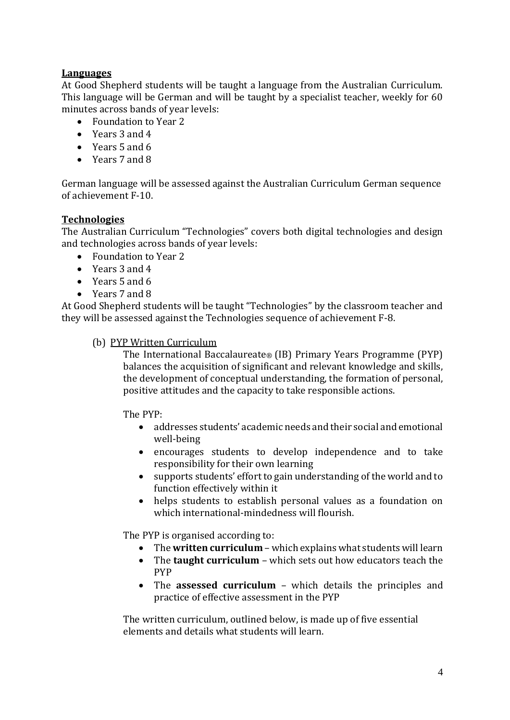## **Languages**

At Good Shepherd students will be taught a language from the Australian Curriculum. This language will be German and will be taught by a specialist teacher, weekly for 60 minutes across bands of year levels:

- Foundation to Year 2
- Years 3 and 4
- Years 5 and 6
- Years 7 and 8

German language will be assessed against the Australian Curriculum German sequence of achievement F-10.

## **Technologies**

The Australian Curriculum "Technologies" covers both digital technologies and design and technologies across bands of year levels:

- Foundation to Year 2
- Years 3 and 4
- Years 5 and 6
- Years 7 and 8

At Good Shepherd students will be taught "Technologies" by the classroom teacher and they will be assessed against the Technologies sequence of achievement F-8.

## (b) PYP Written Curriculum

The International Baccalaureate® (IB) Primary Years Programme (PYP) balances the acquisition of significant and relevant knowledge and skills, the development of conceptual understanding, the formation of personal, positive attitudes and the capacity to take responsible actions.

The PYP:

- addresses students' academic needs and their social and emotional well-being
- encourages students to develop independence and to take responsibility for their own learning
- supports students' effort to gain understanding of the world and to function effectively within it
- helps students to establish personal values as a foundation on which international-mindedness will flourish.

The PYP is organised according to:

- The **written curriculum**  which explains what students will learn
- The **taught curriculum** which sets out how educators teach the PYP
- The **assessed curriculum** which details the principles and practice of effective assessment in the PYP

The written curriculum, outlined below, is made up of five essential elements and details what students will learn.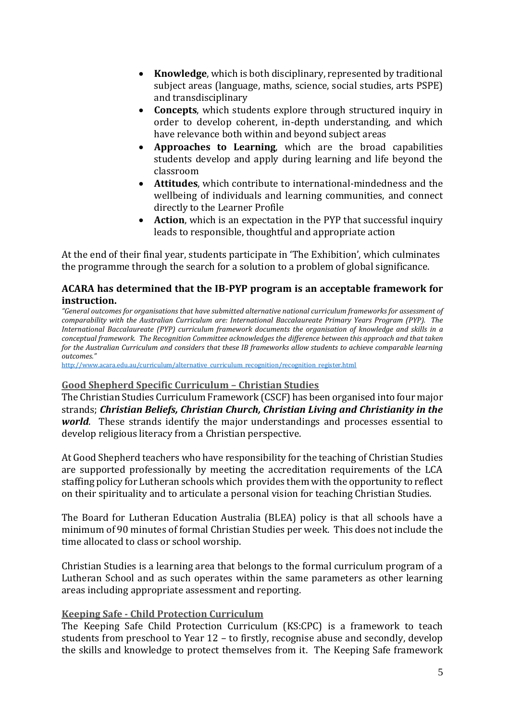- **Knowledge**, which is both disciplinary, represented by traditional subject areas (language, maths, science, social studies, arts PSPE) and transdisciplinary
- **Concepts**, which students explore through structured inquiry in order to develop coherent, in-depth understanding, and which have relevance both within and beyond subject areas
- **Approaches to Learning**, which are the broad capabilities students develop and apply during learning and life beyond the classroom
- **Attitudes**, which contribute to international-mindedness and the wellbeing of individuals and learning communities, and connect directly to the Learner Profile
- **Action**, which is an expectation in the PYP that successful inquiry leads to responsible, thoughtful and appropriate action

At the end of their final year, students participate in 'The Exhibition', which culminates the programme through the search for a solution to a problem of global significance.

## **ACARA has determined that the IB-PYP program is an acceptable framework for instruction.**

*"General outcomes for organisations that have submitted alternative national curriculum frameworks for assessment of comparability with the Australian Curriculum are: International Baccalaureate Primary Years Program (PYP). The International Baccalaureate (PYP) curriculum framework documents the organisation of knowledge and skills in a conceptual framework. The Recognition Committee acknowledges the difference between this approach and that taken for the Australian Curriculum and considers that these IB frameworks allow students to achieve comparable learning outcomes."*

[http://www.acara.edu.au/curriculum/alternative\\_curriculum\\_recognition/recognition\\_register.html](http://www.acara.edu.au/curriculum/alternative_curriculum_recognition/recognition_register.html)

#### **Good Shepherd Specific Curriculum – Christian Studies**

The Christian Studies Curriculum Framework (CSCF) has been organised into four major strands; *Christian Beliefs, Christian Church, Christian Living and Christianity in the world*. These strands identify the major understandings and processes essential to develop religious literacy from a Christian perspective.

At Good Shepherd teachers who have responsibility for the teaching of Christian Studies are supported professionally by meeting the accreditation requirements of the LCA staffing policy for Lutheran schools which provides them with the opportunity to reflect on their spirituality and to articulate a personal vision for teaching Christian Studies.

The Board for Lutheran Education Australia (BLEA) policy is that all schools have a minimum of 90 minutes of formal Christian Studies per week. This does not include the time allocated to class or school worship.

Christian Studies is a learning area that belongs to the formal curriculum program of a Lutheran School and as such operates within the same parameters as other learning areas including appropriate assessment and reporting.

## **Keeping Safe - Child Protection Curriculum**

The Keeping Safe Child Protection Curriculum (KS:CPC) is a framework to teach students from preschool to Year 12 – to firstly, recognise abuse and secondly, develop the skills and knowledge to protect themselves from it. The Keeping Safe framework